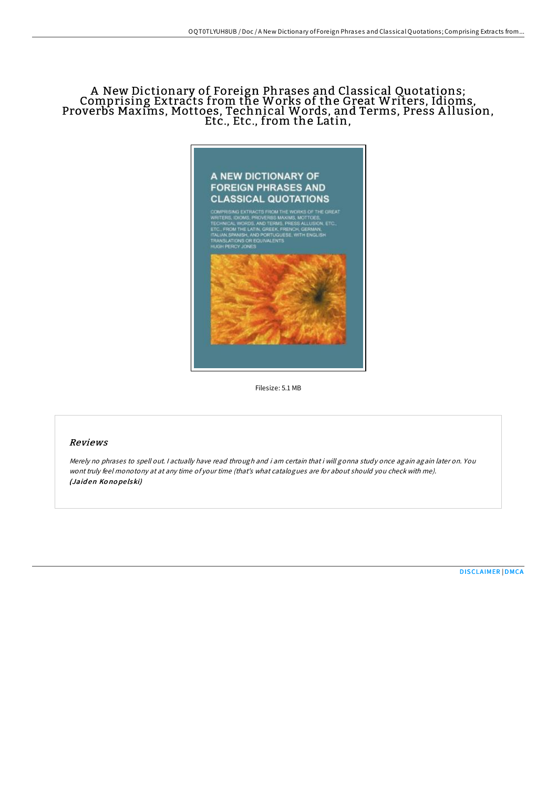# A New Dictionary of Foreign Phrases and Classical Quotations; Comprising Extracts from the Works of the Great Writers, Idioms, Proverbs Maxims, Mottoes, Technical Words, and Terms, Press A llusion, Etc., Etc., from the Latin,



Filesize: 5.1 MB

### Reviews

Merely no phrases to spell out. I actually have read through and i am certain that i will gonna study once again again later on. You wont truly feel monotony at at any time of your time (that's what catalogues are for about should you check with me). (Jaid en Ko no pe lski)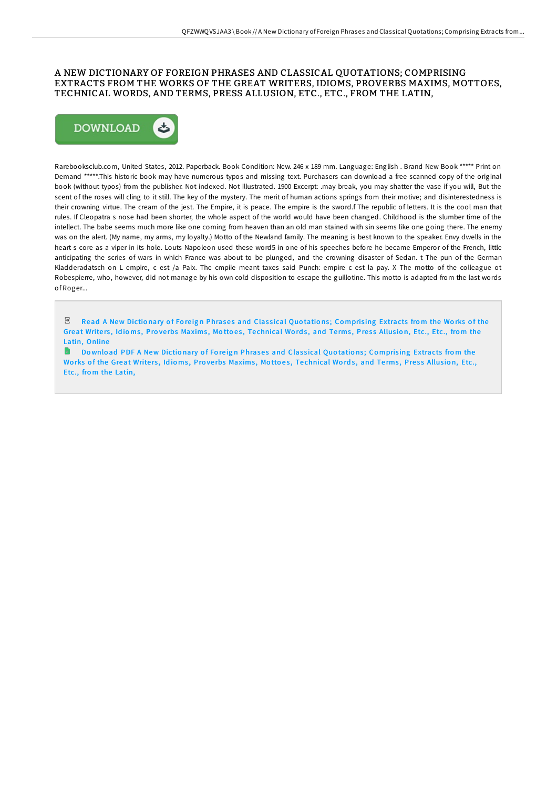## A NEW DICTIONARY OF FOREIGN PHRASES AND CLASSICAL QUOTATIONS; COMPRISING EXTRACTS FROM THE WORKS OF THE GREAT WRITERS, IDIOMS, PROVERBS MAXIMS, MOTTOES, TECHNICAL WORDS, AND TERMS, PRESS ALLUSION, ETC., ETC., FROM THE LATIN,



Rarebooksclub.com, United States, 2012. Paperback. Book Condition: New. 246 x 189 mm. Language: English . Brand New Book \*\*\*\*\* Print on Demand \*\*\*\*\*.This historic book may have numerous typos and missing text. Purchasers can download a free scanned copy of the original book (without typos) from the publisher. Not indexed. Not illustrated. 1900 Excerpt: .may break, you may shatter the vase if you will, But the scent of the roses will cling to it still. The key of the mystery. The merit of human actions springs from their motive; and disinterestedness is their crowning virtue. The cream of the jest. The Empire, it is peace. The empire is the sword.f The republic of letters. It is the cool man that rules. If Cleopatra s nose had been shorter, the whole aspect of the world would have been changed. Childhood is the slumber time of the intellect. The babe seems much more like one coming from heaven than an old man stained with sin seems like one going there. The enemy was on the alert. (My name, my arms, my loyalty.) Motto of the Newland family. The meaning is best known to the speaker. Envy dwells in the heart s core as a viper in its hole. Louts Napoleon used these word5 in one of his speeches before he became Emperor of the French, little anticipating the scries of wars in which France was about to be plunged, and the crowning disaster of Sedan. t The pun of the German Kladderadatsch on L empire, c est /a Paix. The cmpiie meant taxes said Punch: empire c est la pay. X The motto of the colleague ot Robespierre, who, however, did not manage by his own cold disposition to escape the guillotine. This motto is adapted from the last words of Roger...

Read A New Dictionary of Foreign Phrases and Classical Quotations: Comprising [Extracts](http://almighty24.tech/a-new-dictionary-of-foreign-phrases-and-classica.html) from the Works of the Great Writers, Idioms, Proverbs Maxims, Mottoes, Technical Words, and Terms, Press Allusion, Etc., Etc., from the Latin, Online

 $\blacksquare$ Download PDF A New Dictionary of Foreign Phrases and Classical Quotations; Comprising [Extracts](http://almighty24.tech/a-new-dictionary-of-foreign-phrases-and-classica.html) from the Works of the Great Writers, Idioms, Proverbs Maxims, Mottoes, Technical Words, and Terms, Press Allusion, Etc., Etc., from the Latin,